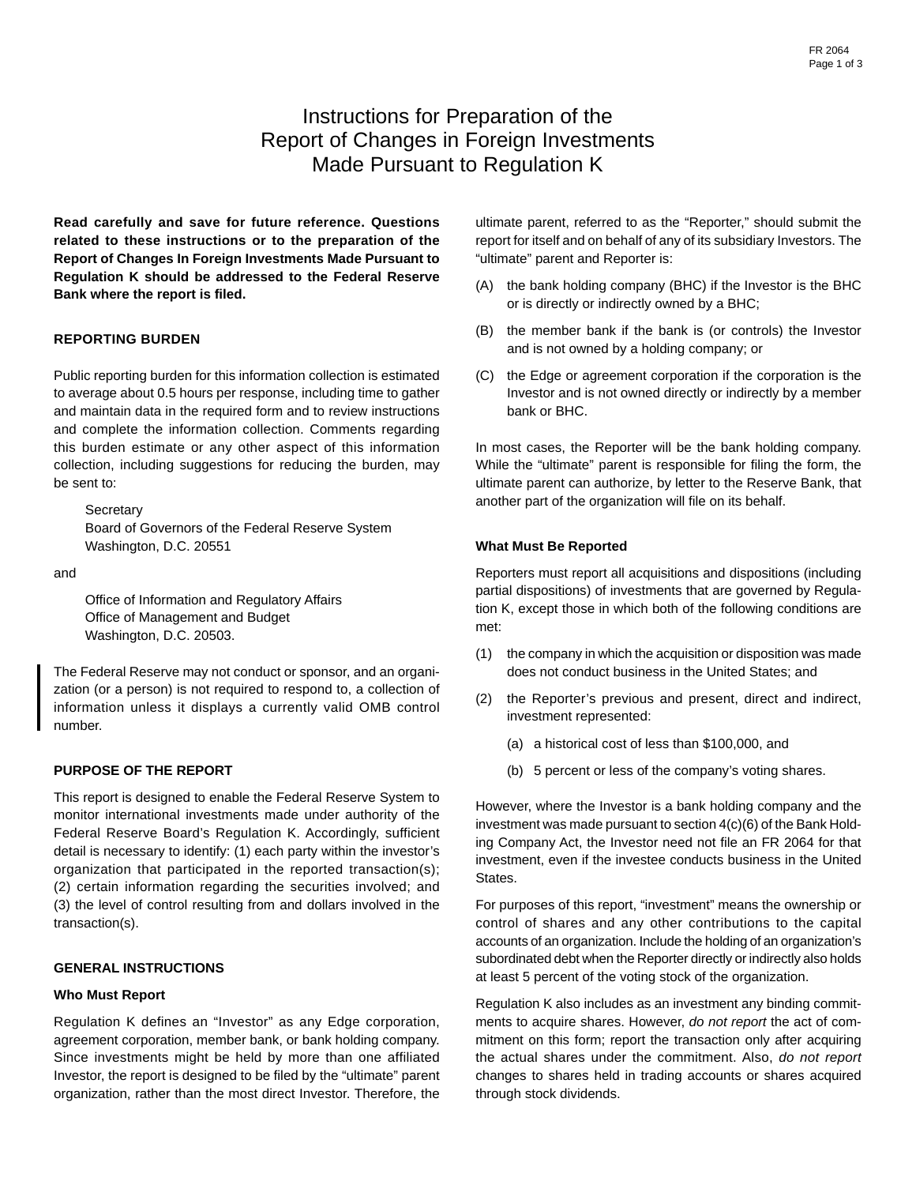# Instructions for Preparation of the Report of Changes in Foreign Investments Made Pursuant to Regulation K

**Read carefully and save for future reference. Questions related to these instructions or to the preparation of the Report of Changes In Foreign Investments Made Pursuant to Regulation K should be addressed to the Federal Reserve Bank where the report is filed.**

### **REPORTING BURDEN**

Public reporting burden for this information collection is estimated to average about 0.5 hours per response, including time to gather and maintain data in the required form and to review instructions and complete the information collection. Comments regarding this burden estimate or any other aspect of this information collection, including suggestions for reducing the burden, may be sent to:

**Secretary** Board of Governors of the Federal Reserve System Washington, D.C. 20551

and

Office of Information and Regulatory Affairs Office of Management and Budget Washington, D.C. 20503.

The Federal Reserve may not conduct or sponsor, and an organization (or a person) is not required to respond to, a collection of information unless it displays a currently valid OMB control number.

#### **PURPOSE OF THE REPORT**

This report is designed to enable the Federal Reserve System to monitor international investments made under authority of the Federal Reserve Board's Regulation K. Accordingly, sufficient detail is necessary to identify: (1) each party within the investor's organization that participated in the reported transaction(s); (2) certain information regarding the securities involved; and (3) the level of control resulting from and dollars involved in the transaction(s).

#### **GENERAL INSTRUCTIONS**

#### **Who Must Report**

Regulation K defines an "Investor" as any Edge corporation, agreement corporation, member bank, or bank holding company. Since investments might be held by more than one affiliated Investor, the report is designed to be filed by the "ultimate" parent organization, rather than the most direct Investor. Therefore, the

ultimate parent, referred to as the "Reporter," should submit the report for itself and on behalf of any of its subsidiary Investors. The "ultimate" parent and Reporter is:

- (A) the bank holding company (BHC) if the Investor is the BHC or is directly or indirectly owned by a BHC;
- (B) the member bank if the bank is (or controls) the Investor and is not owned by a holding company; or
- (C) the Edge or agreement corporation if the corporation is the Investor and is not owned directly or indirectly by a member bank or BHC.

In most cases, the Reporter will be the bank holding company. While the "ultimate" parent is responsible for filing the form, the ultimate parent can authorize, by letter to the Reserve Bank, that another part of the organization will file on its behalf.

#### **What Must Be Reported**

Reporters must report all acquisitions and dispositions (including partial dispositions) of investments that are governed by Regulation K, except those in which both of the following conditions are met:

- (1) the company in which the acquisition or disposition was made does not conduct business in the United States; and
- (2) the Reporter's previous and present, direct and indirect, investment represented:
	- (a) a historical cost of less than \$100,000, and
	- (b) 5 percent or less of the company's voting shares.

However, where the Investor is a bank holding company and the investment was made pursuant to section 4(c)(6) of the Bank Holding Company Act, the Investor need not file an FR 2064 for that investment, even if the investee conducts business in the United States.

For purposes of this report, "investment" means the ownership or control of shares and any other contributions to the capital accounts of an organization. Include the holding of an organization's subordinated debt when the Reporter directly or indirectly also holds at least 5 percent of the voting stock of the organization.

Regulation K also includes as an investment any binding commitments to acquire shares. However, do not report the act of commitment on this form; report the transaction only after acquiring the actual shares under the commitment. Also, do not report changes to shares held in trading accounts or shares acquired through stock dividends.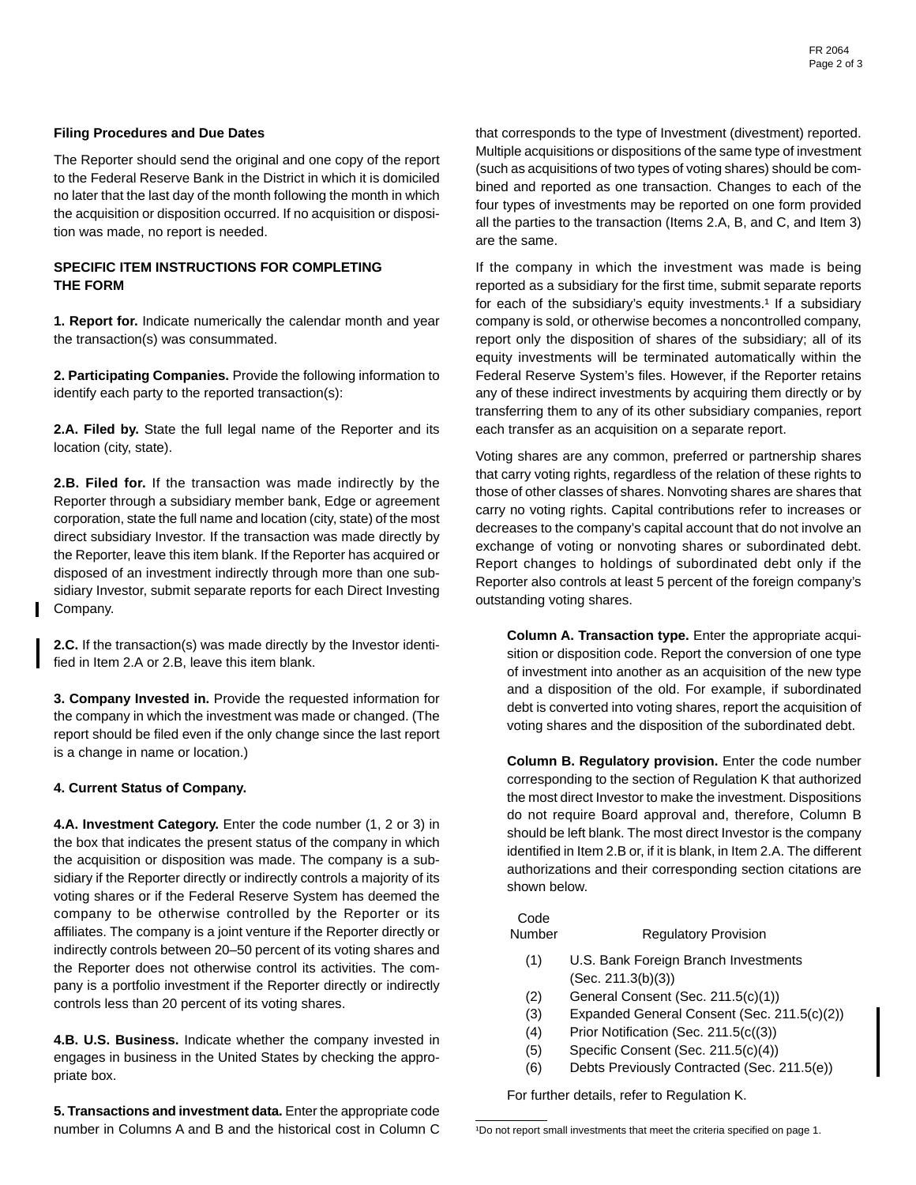#### **Filing Procedures and Due Dates**

The Reporter should send the original and one copy of the report to the Federal Reserve Bank in the District in which it is domiciled no later that the last day of the month following the month in which the acquisition or disposition occurred. If no acquisition or disposition was made, no report is needed.

### **SPECIFIC ITEM INSTRUCTIONS FOR COMPLETING THE FORM**

**1. Report for.** Indicate numerically the calendar month and year the transaction(s) was consummated.

**2. Participating Companies.** Provide the following information to identify each party to the reported transaction(s):

**2.A. Filed by.** State the full legal name of the Reporter and its location (city, state).

**2.B. Filed for.** If the transaction was made indirectly by the Reporter through a subsidiary member bank, Edge or agreement corporation, state the full name and location (city, state) of the most direct subsidiary Investor. If the transaction was made directly by the Reporter, leave this item blank. If the Reporter has acquired or disposed of an investment indirectly through more than one subsidiary Investor, submit separate reports for each Direct Investing Company.

**2.C.** If the transaction(s) was made directly by the Investor identified in Item 2.A or 2.B, leave this item blank.

**3. Company Invested in.** Provide the requested information for the company in which the investment was made or changed. (The report should be filed even if the only change since the last report is a change in name or location.)

#### **4. Current Status of Company.**

**4.A. Investment Category.** Enter the code number (1, 2 or 3) in the box that indicates the present status of the company in which the acquisition or disposition was made. The company is a subsidiary if the Reporter directly or indirectly controls a majority of its voting shares or if the Federal Reserve System has deemed the company to be otherwise controlled by the Reporter or its affiliates. The company is a joint venture if the Reporter directly or indirectly controls between 20–50 percent of its voting shares and the Reporter does not otherwise control its activities. The company is a portfolio investment if the Reporter directly or indirectly controls less than 20 percent of its voting shares.

**4.B. U.S. Business.** Indicate whether the company invested in engages in business in the United States by checking the appropriate box.

**5. Transactions and investment data.** Enter the appropriate code number in Columns A and B and the historical cost in Column C that corresponds to the type of Investment (divestment) reported. Multiple acquisitions or dispositions of the same type of investment (such as acquisitions of two types of voting shares) should be combined and reported as one transaction. Changes to each of the four types of investments may be reported on one form provided all the parties to the transaction (Items 2.A, B, and C, and Item 3) are the same.

If the company in which the investment was made is being reported as a subsidiary for the first time, submit separate reports for each of the subsidiary's equity investments.<sup>1</sup> If a subsidiary company is sold, or otherwise becomes a noncontrolled company, report only the disposition of shares of the subsidiary; all of its equity investments will be terminated automatically within the Federal Reserve System's files. However, if the Reporter retains any of these indirect investments by acquiring them directly or by transferring them to any of its other subsidiary companies, report each transfer as an acquisition on a separate report.

Voting shares are any common, preferred or partnership shares that carry voting rights, regardless of the relation of these rights to those of other classes of shares. Nonvoting shares are shares that carry no voting rights. Capital contributions refer to increases or decreases to the company's capital account that do not involve an exchange of voting or nonvoting shares or subordinated debt. Report changes to holdings of subordinated debt only if the Reporter also controls at least 5 percent of the foreign company's outstanding voting shares.

**Column A. Transaction type.** Enter the appropriate acquisition or disposition code. Report the conversion of one type of investment into another as an acquisition of the new type and a disposition of the old. For example, if subordinated debt is converted into voting shares, report the acquisition of voting shares and the disposition of the subordinated debt.

**Column B. Regulatory provision.** Enter the code number corresponding to the section of Regulation K that authorized the most direct Investor to make the investment. Dispositions do not require Board approval and, therefore, Column B should be left blank. The most direct Investor is the company identified in Item 2.B or, if it is blank, in Item 2.A. The different authorizations and their corresponding section citations are shown below.

## Code

#### Number Regulatory Provision

- (1) U.S. Bank Foreign Branch Investments (Sec. 211.3(b)(3))
- (2) General Consent (Sec. 211.5(c)(1))
- (3) Expanded General Consent (Sec. 211.5(c)(2))
- (4) Prior Notification (Sec. 211.5(c((3))
- (5) Specific Consent (Sec. 211.5(c)(4))
- (6) Debts Previously Contracted (Sec. 211.5(e))

For further details, refer to Regulation K.

<sup>&</sup>lt;sup>1</sup>Do not report small investments that meet the criteria specified on page 1.